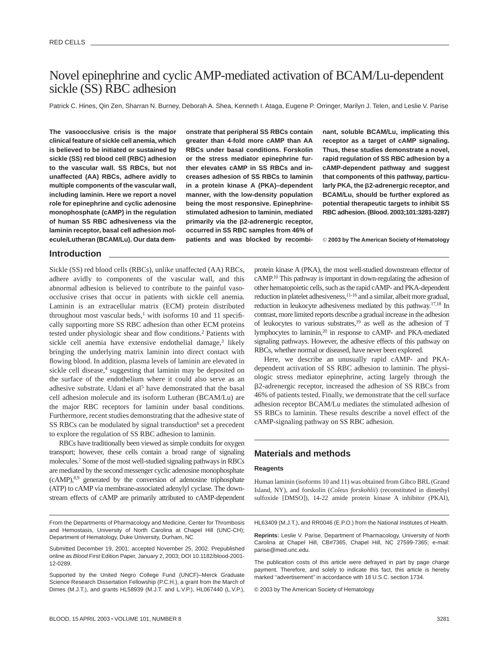# Novel epinephrine and cyclic AMP-mediated activation of BCAM/Lu-dependent sickle (SS) RBC adhesion

Patrick C. Hines, Qin Zen, Sharran N. Burney, Deborah A. Shea, Kenneth I. Ataga, Eugene P. Orringer, Marilyn J. Telen, and Leslie V. Parise

**The vasoocclusive crisis is the major clinical feature of sickle cell anemia, which is believed to be initiated or sustained by sickle (SS) red blood cell (RBC) adhesion to the vascular wall. SS RBCs, but not unaffected (AA) RBCs, adhere avidly to multiple components of the vascular wall, including laminin. Here we report a novel role for epinephrine and cyclic adenosine monophosphate (cAMP) in the regulation of human SS RBC adhesiveness via the laminin receptor, basal cell adhesion molecule/Lutheran (BCAM/Lu). Our data dem-** **onstrate that peripheral SS RBCs contain greater than 4-fold more cAMP than AA RBCs under basal conditions. Forskolin or the stress mediator epinephrine further elevates cAMP in SS RBCs and increases adhesion of SS RBCs to laminin in a protein kinase A (PKA)–dependent manner, with the low-density population being the most responsive. Epinephrinestimulated adhesion to laminin, mediated primarily via the 2-adrenergic receptor, occurred in SS RBC samples from 46% of patients and was blocked by recombi-**

**nant, soluble BCAM/Lu, implicating this receptor as a target of cAMP signaling. Thus, these studies demonstrate a novel, rapid regulation of SS RBC adhesion by a cAMP-dependent pathway and suggest that components of this pathway, particularly PKA, the 2-adrenergic receptor, and BCAM/Lu, should be further explored as potential therapeutic targets to inhibit SS RBC adhesion. (Blood. 2003;101:3281-3287)**

© **2003 by The American Society of Hematology**

## **Introduction**

Sickle (SS) red blood cells (RBCs), unlike unaffected (AA) RBCs, adhere avidly to components of the vascular wall, and this abnormal adhesion is believed to contribute to the painful vasoocclusive crises that occur in patients with sickle cell anemia. Laminin is an extracellular matrix (ECM) protein distributed throughout most vascular beds, $1$  with isoforms 10 and 11 specifically supporting more SS RBC adhesion than other ECM proteins tested under physiologic shear and flow conditions.2 Patients with sickle cell anemia have extensive endothelial damage,<sup>3</sup> likely bringing the underlying matrix laminin into direct contact with flowing blood. In addition, plasma levels of laminin are elevated in sickle cell disease,<sup>4</sup> suggesting that laminin may be deposited on the surface of the endothelium where it could also serve as an adhesive substrate. Udani et al<sup>5</sup> have demonstrated that the basal cell adhesion molecule and its isoform Lutheran (BCAM/Lu) are the major RBC receptors for laminin under basal conditions. Furthermore, recent studies demonstrating that the adhesive state of SS RBCs can be modulated by signal transduction<sup>6</sup> set a precedent to explore the regulation of SS RBC adhesion to laminin.

RBCs have traditionally been viewed as simple conduits for oxygen transport; however, these cells contain a broad range of signaling molecules.7 Some of the most well-studied signaling pathways in RBCs are mediated by the second messenger cyclic adenosine monophosphate  $(cAMP)$ ,<sup>8,9</sup> generated by the conversion of adenosine triphosphate (ATP) to cAMP via membrane-associated adenylyl cyclase. The downstream effects of cAMP are primarily attributed to cAMP-dependent

From the Departments of Pharmacology and Medicine, Center for Thrombosis and Hemostasis, University of North Carolina at Chapel Hill (UNC-CH); Department of Hematology, Duke University, Durham, NC

HL63409 (M.J.T.), and RR0046 (E.P.O.) from the National Institutes of Health.

**Reprints:** Leslie V. Parise, Department of Pharmacology, University of North Carolina at Chapel Hill, CB#7365, Chapel Hill, NC 27599-7365; e-mail: parise@med.unc.edu.

The publication costs of this article were defrayed in part by page charge payment. Therefore, and solely to indicate this fact, this article is hereby marked "advertisement" in accordance with 18 U.S.C. section 1734.

© 2003 by The American Society of Hematology

protein kinase A (PKA), the most well-studied downstream effector of cAMP.10 This pathway is important in down-regulating the adhesion of other hematopoietic cells, such as the rapid cAMP- and PKA-dependent reduction in platelet adhesiveness,<sup>11-16</sup> and a similar, albeit more gradual, reduction in leukocyte adhesiveness mediated by this pathway.17,18 In contrast, more limited reports describe a gradual increase in the adhesion of leukocytes to various substrates,19 as well as the adhesion of T lymphocytes to laminin,20 in response to cAMP- and PKA-mediated signaling pathways. However, the adhesive effects of this pathway on RBCs, whether normal or diseased, have never been explored.

Here, we describe an unusually rapid cAMP- and PKAdependent activation of SS RBC adhesion to laminin. The physiologic stress mediator epinephrine, acting largely through the 2-adrenergic receptor, increased the adhesion of SS RBCs from 46% of patients tested. Finally, we demonstrate that the cell surface adhesion receptor BCAM/Lu mediates the stimulated adhesion of SS RBCs to laminin. These results describe a novel effect of the cAMP-signaling pathway on SS RBC adhesion.

## **Materials and methods**

### **Reagents**

Human laminin (isoforms 10 and 11) was obtained from Gibco BRL (Grand Island, NY), and forskolin (*Coleus forskohlii*) (reconstituted in dimethyl sulfoxide [DMSO]), 14-22 amide protein kinase A inhibitor (PKAI),

Submitted December 19, 2001; accepted November 25, 2002. Prepublished online as Blood First Edition Paper, January 2, 2003; DOI 10.1182/blood-2001- 12-0289.

Supported by the United Negro College Fund (UNCF)–Merck Graduate Science Research Dissertation Fellowship (P.C.H.), a grant from the March of Dimes (M.J.T.), and grants HL58939 (M.J.T. and L.V.P.), HL067440 (L.V.P.),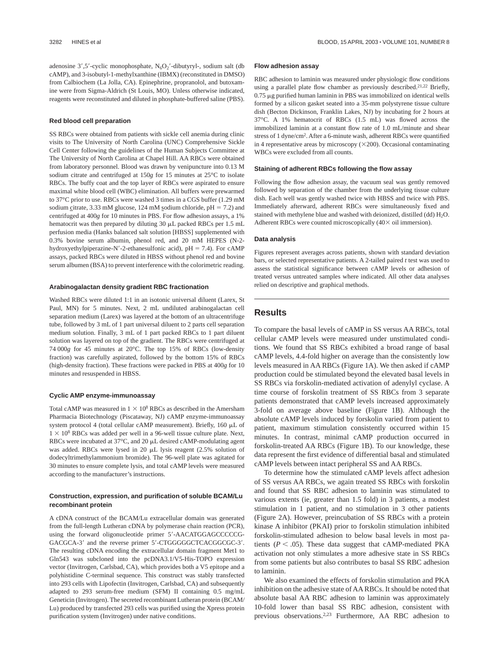adenosine  $3', 5'$ -cyclic monophosphate,  $N_6O_2'$ -dibutyryl-, sodium salt (db cAMP), and 3-isobutyl-1-methylxanthine (IBMX) (reconstituted in DMSO) from Calbiochem (La Jolla, CA). Epinephrine, propranolol, and butoxamine were from Sigma-Aldrich (St Louis, MO). Unless otherwise indicated, reagents were reconstituted and diluted in phosphate-buffered saline (PBS).

#### **Red blood cell preparation**

SS RBCs were obtained from patients with sickle cell anemia during clinic visits to The University of North Carolina (UNC) Comprehensive Sickle Cell Center following the guidelines of the Human Subjects Committee at The University of North Carolina at Chapel Hill. AA RBCs were obtained from laboratory personnel. Blood was drawn by venipuncture into 0.13 M sodium citrate and centrifuged at 150*g* for 15 minutes at 25°C to isolate RBCs. The buffy coat and the top layer of RBCs were aspirated to ensure maximal white blood cell (WBC) elimination. All buffers were prewarmed to 37°C prior to use. RBCs were washed 3 times in a CGS buffer (1.29 mM sodium citrate, 3.33 mM glucose, 124 mM sodium chloride,  $pH = 7.2$ ) and centrifuged at 400*g* for 10 minutes in PBS. For flow adhesion assays, a 1% hematocrit was then prepared by diluting  $30 \mu L$  packed RBCs per 1.5 mL perfusion media (Hanks balanced salt solution [HBSS] supplemented with 0.3% bovine serum albumin, phenol red, and 20 mM HEPES (N-2 hydroxyethylpiperazine-N'-2-ethanesulfonic acid),  $pH = 7.4$ ). For cAMP assays, packed RBCs were diluted in HBSS without phenol red and bovine serum albumen (BSA) to prevent interference with the colorimetric reading.

#### **Arabinogalactan density gradient RBC fractionation**

Washed RBCs were diluted 1:1 in an isotonic universal diluent (Larex, St Paul, MN) for 5 minutes. Next, 2 mL undiluted arabinogalactan cell separation medium (Larex) was layered at the bottom of an ultracentrifuge tube, followed by 3 mL of 1 part universal diluent to 2 parts cell separation medium solution. Finally, 3 mL of 1 part packed RBCs to 1 part diluent solution was layered on top of the gradient. The RBCs were centrifuged at 74 000*g* for 45 minutes at 20°C. The top 15% of RBCs (low-density fraction) was carefully aspirated, followed by the bottom 15% of RBCs (high-density fraction). These fractions were packed in PBS at 400*g* for 10 minutes and resuspended in HBSS.

#### **Cyclic AMP enzyme-immunoassay**

Total cAMP was measured in  $1 \times 10^8$  RBCs as described in the Amersham Pharmacia Biotechnology (Piscataway, NJ) cAMP enzyme-immunoassay system protocol 4 (total cellular cAMP measurement). Briefly,  $160 \mu L$  of  $1 \times 10^8$  RBCs was added per well in a 96-well tissue culture plate. Next, RBCs were incubated at  $37^{\circ}$ C, and 20  $\mu$ L desired cAMP-modulating agent was added. RBCs were lysed in 20  $\mu$ L lysis reagent (2.5% solution of dodecyltrimethylammonium bromide). The 96-well plate was agitated for 30 minutes to ensure complete lysis, and total cAMP levels were measured according to the manufacturer's instructions.

### **Construction, expression, and purification of soluble BCAM/Lu recombinant protein**

A cDNA construct of the BCAM/Lu extracellular domain was generated from the full-length Lutheran cDNA by polymerase chain reaction (PCR), using the forward oligonucleotide primer 5'-AACATGGAGCCCCCG-GACGCA-3' and the reverse primer 5'-CTGGGGGCTCACGGCGC-3'. The resulting cDNA encoding the extracellular domain fragment Met1 to Gln543 was subcloned into the pcDNA3.1/V5-His-TOPO expression vector (Invitrogen, Carlsbad, CA), which provides both a V5 epitope and a polyhistidine C-terminal sequence. This construct was stably transfected into 293 cells with Lipofectin (Invitrogen, Carlsbad, CA) and subsequently adapted to 293 serum-free medium (SFM) II containing 0.5 mg/mL Geneticin (Invitrogen). The secreted recombinant Lutheran protein (BCAM/ Lu) produced by transfected 293 cells was purified using the Xpress protein purification system (Invitrogen) under native conditions.

#### **Flow adhesion assay**

RBC adhesion to laminin was measured under physiologic flow conditions using a parallel plate flow chamber as previously described.<sup>21,22</sup> Briefly,  $0.75 \mu$ g purified human laminin in PBS was immobilized on identical wells formed by a silicon gasket seated into a 35-mm polystyrene tissue culture dish (Becton Dickinson, Franklin Lakes, NJ) by incubating for 2 hours at 37°C. A 1% hematocrit of RBCs (1.5 mL) was flowed across the immobilized laminin at a constant flow rate of 1.0 mL/minute and shear stress of 1 dyne/cm2. After a 6-minute wash, adherent RBCs were quantified in 4 representative areas by microscopy  $(\times 200)$ . Occasional contaminating WBCs were excluded from all counts.

#### **Staining of adherent RBCs following the flow assay**

Following the flow adhesion assay, the vacuum seal was gently removed followed by separation of the chamber from the underlying tissue culture dish. Each well was gently washed twice with HBSS and twice with PBS. Immediately afterward, adherent RBCs were simultaneously fixed and stained with methylene blue and washed with deionized, distilled (dd) H<sub>2</sub>O. Adherent RBCs were counted microscopically  $(40 \times \text{oil immersion})$ .

#### **Data analysis**

Figures represent averages across patients, shown with standard deviation bars, or selected representative patients. A 2-tailed paired *t* test was used to assess the statistical significance between cAMP levels or adhesion of treated versus untreated samples where indicated. All other data analyses relied on descriptive and graphical methods.

## **Results**

To compare the basal levels of cAMP in SS versus AA RBCs, total cellular cAMP levels were measured under unstimulated conditions. We found that SS RBCs exhibited a broad range of basal cAMP levels, 4.4-fold higher on average than the consistently low levels measured in AA RBCs (Figure 1A). We then asked if cAMP production could be stimulated beyond the elevated basal levels in SS RBCs via forskolin-mediated activation of adenylyl cyclase. A time course of forskolin treatment of SS RBCs from 3 separate patients demonstrated that cAMP levels increased approximately 3-fold on average above baseline (Figure 1B). Although the absolute cAMP levels induced by forskolin varied from patient to patient, maximum stimulation consistently occurred within 15 minutes. In contrast, minimal cAMP production occurred in forskolin-treated AA RBCs (Figure 1B). To our knowledge, these data represent the first evidence of differential basal and stimulated cAMP levels between intact peripheral SS and AA RBCs.

To determine how the stimulated cAMP levels affect adhesion of SS versus AA RBCs, we again treated SS RBCs with forskolin and found that SS RBC adhesion to laminin was stimulated to various extents (ie, greater than 1.5 fold) in 3 patients, a modest stimulation in 1 patient, and no stimulation in 3 other patients (Figure 2A). However, preincubation of SS RBCs with a protein kinase A inhibitor (PKAI) prior to forskolin stimulation inhibited forskolin-stimulated adhesion to below basal levels in most patients  $(P < .05)$ . These data suggest that cAMP-mediated PKA activation not only stimulates a more adhesive state in SS RBCs from some patients but also contributes to basal SS RBC adhesion to laminin.

We also examined the effects of forskolin stimulation and PKA inhibition on the adhesive state of AA RBCs. It should be noted that absolute basal AA RBC adhesion to laminin was approximately 10-fold lower than basal SS RBC adhesion, consistent with previous observations.2,23 Furthermore, AA RBC adhesion to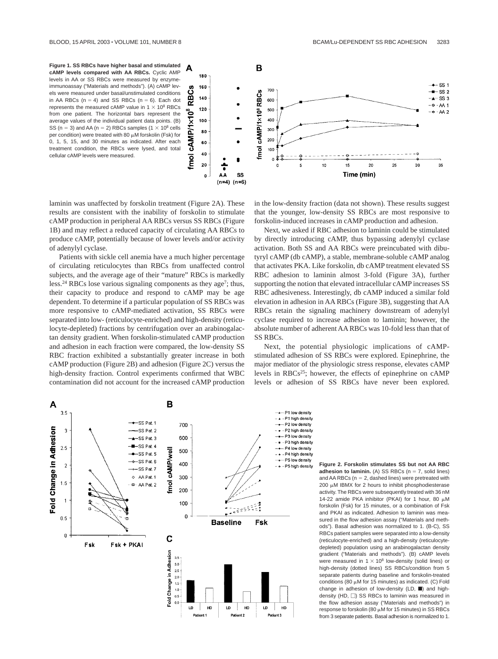



laminin was unaffected by forskolin treatment (Figure 2A). These results are consistent with the inability of forskolin to stimulate cAMP production in peripheral AA RBCs versus SS RBCs (Figure 1B) and may reflect a reduced capacity of circulating AA RBCs to produce cAMP, potentially because of lower levels and/or activity of adenylyl cyclase.

Patients with sickle cell anemia have a much higher percentage of circulating reticulocytes than RBCs from unaffected control subjects, and the average age of their "mature" RBCs is markedly less.<sup>24</sup> RBCs lose various signaling components as they age<sup>7</sup>; thus, their capacity to produce and respond to cAMP may be age dependent. To determine if a particular population of SS RBCs was more responsive to cAMP-mediated activation, SS RBCs were separated into low- (reticulocyte-enriched) and high-density (reticulocyte-depleted) fractions by centrifugation over an arabinogalactan density gradient. When forskolin-stimulated cAMP production and adhesion in each fraction were compared, the low-density SS RBC fraction exhibited a substantially greater increase in both cAMP production (Figure 2B) and adhesion (Figure 2C) versus the high-density fraction. Control experiments confirmed that WBC contamination did not account for the increased cAMP production in the low-density fraction (data not shown). These results suggest that the younger, low-density SS RBCs are most responsive to forskolin-induced increases in cAMP production and adhesion.

Next, we asked if RBC adhesion to laminin could be stimulated by directly introducing cAMP, thus bypassing adenylyl cyclase activation. Both SS and AA RBCs were preincubated with dibutyryl cAMP (db cAMP), a stable, membrane-soluble cAMP analog that activates PKA. Like forskolin, db cAMP treatment elevated SS RBC adhesion to laminin almost 3-fold (Figure 3A), further supporting the notion that elevated intracellular cAMP increases SS RBC adhesiveness. Interestingly, db cAMP induced a similar fold elevation in adhesion in AA RBCs (Figure 3B), suggesting that AA RBCs retain the signaling machinery downstream of adenylyl cyclase required to increase adhesion to laminin; however, the absolute number of adherent AA RBCs was 10-fold less than that of SS RBCs.

Next, the potential physiologic implications of cAMPstimulated adhesion of SS RBCs were explored. Epinephrine, the major mediator of the physiologic stress response, elevates cAMP levels in RBCs25; however, the effects of epinephrine on cAMP levels or adhesion of SS RBCs have never been explored.



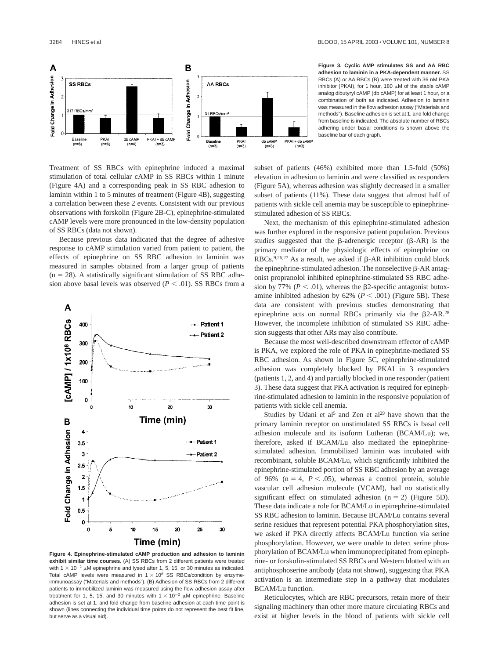

**Figure 3. Cyclic AMP stimulates SS and AA RBC adhesion to laminin in a PKA-dependent manner.** SS RBCs (A) or AA RBCs (B) were treated with 36 nM PKA inhibitor (PKAI), for 1 hour, 180  $\mu$ M of the stable cAMP analog dibutyryl cAMP (db cAMP) for at least 1 hour, or a combination of both as indicated. Adhesion to laminin was measured in the flow adhesion assay ("Materials and methods"). Baseline adhesion is set at 1, and fold change from baseline is indicated. The absolute number of RBCs adhering under basal conditions is shown above the baseline bar of each graph.

Treatment of SS RBCs with epinephrine induced a maximal stimulation of total cellular cAMP in SS RBCs within 1 minute (Figure 4A) and a corresponding peak in SS RBC adhesion to laminin within 1 to 5 minutes of treatment (Figure 4B), suggesting a correlation between these 2 events. Consistent with our previous observations with forskolin (Figure 2B-C), epinephrine-stimulated cAMP levels were more pronounced in the low-density population of SS RBCs (data not shown).

Because previous data indicated that the degree of adhesive response to cAMP stimulation varied from patient to patient, the effects of epinephrine on SS RBC adhesion to laminin was measured in samples obtained from a larger group of patients  $(n = 28)$ . A statistically significant stimulation of SS RBC adhesion above basal levels was observed  $(P < .01)$ . SS RBCs from a



**Figure 4. Epinephrine-stimulated cAMP production and adhesion to laminin exhibit similar time courses.** (A) SS RBCs from 2 different patients were treated with 1  $\times$  10<sup>-2</sup> µM epinephrine and lysed after 1, 5, 15, or 30 minutes as indicated. Total cAMP levels were measured in  $1 \times 10^8$  SS RBCs/condition by enzymeimmunoassay ("Materials and methods"). (B) Adhesion of SS RBCs from 2 different patients to immobilized laminin was measured using the flow adhesion assay after treatment for 1, 5, 15, and 30 minutes with  $1 \times 10^{-2}$   $\mu$ M epinephrine. Baseline adhesion is set at 1, and fold change from baseline adhesion at each time point is shown (lines connecting the individual time points do not represent the best fit line, but serve as a visual aid).

subset of patients (46%) exhibited more than 1.5-fold (50%) elevation in adhesion to laminin and were classified as responders (Figure 5A), whereas adhesion was slightly decreased in a smaller subset of patients (11%). These data suggest that almost half of patients with sickle cell anemia may be susceptible to epinephrinestimulated adhesion of SS RBCs.

Next, the mechanism of this epinephrine-stimulated adhesion was further explored in the responsive patient population. Previous studies suggested that the  $\beta$ -adrenergic receptor ( $\beta$ -AR) is the primary mediator of the physiologic effects of epinephrine on RBCs.<sup>9,26,27</sup> As a result, we asked if  $\beta$ -AR inhibition could block the epinephrine-stimulated adhesion. The nonselective  $\beta$ -AR antagonist propranolol inhibited epinephrine-stimulated SS RBC adhesion by 77% ( $P < .01$ ), whereas the  $\beta$ 2-specific antagonist butoxamine inhibited adhesion by  $62\%$  ( $P < .001$ ) (Figure 5B). These data are consistent with previous studies demonstrating that epinephrine acts on normal RBCs primarily via the  $\beta$ 2-AR.<sup>28</sup> However, the incomplete inhibition of stimulated SS RBC adhesion suggests that other ARs may also contribute.

Because the most well-described downstream effector of cAMP is PKA, we explored the role of PKA in epinephrine-mediated SS RBC adhesion. As shown in Figure 5C, epinephrine-stimulated adhesion was completely blocked by PKAI in 3 responders (patients 1, 2, and 4) and partially blocked in one responder (patient 3). These data suggest that PKA activation is required for epinephrine-stimulated adhesion to laminin in the responsive population of patients with sickle cell anemia.

Studies by Udani et al<sup>5</sup> and Zen et al<sup>29</sup> have shown that the primary laminin receptor on unstimulated SS RBCs is basal cell adhesion molecule and its isoform Lutheran (BCAM/Lu); we, therefore, asked if BCAM/Lu also mediated the epinephrinestimulated adhesion. Immobilized laminin was incubated with recombinant, soluble BCAM/Lu, which significantly inhibited the epinephrine-stimulated portion of SS RBC adhesion by an average of 96% ( $n = 4$ ,  $P < .05$ ), whereas a control protein, soluble vascular cell adhesion molecule (VCAM), had no statistically significant effect on stimulated adhesion  $(n = 2)$  (Figure 5D). These data indicate a role for BCAM/Lu in epinephrine-stimulated SS RBC adhesion to laminin. Because BCAM/Lu contains several serine residues that represent potential PKA phosphorylation sites, we asked if PKA directly affects BCAM/Lu function via serine phosphorylation. However, we were unable to detect serine phosphorylation of BCAM/Lu when immunoprecipitated from epinephrine- or forskolin-stimulated SS RBCs and Western blotted with an antiphosphoserine antibody (data not shown), suggesting that PKA activation is an intermediate step in a pathway that modulates BCAM/Lu function.

Reticulocytes, which are RBC precursors, retain more of their signaling machinery than other more mature circulating RBCs and exist at higher levels in the blood of patients with sickle cell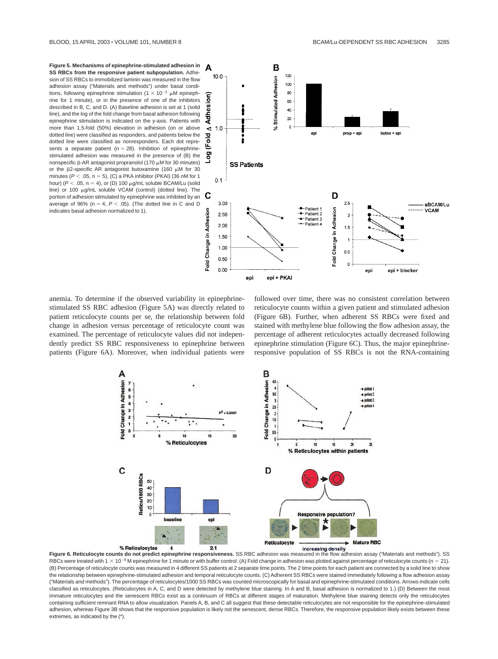**Figure 5. Mechanisms of epinephrine-stimulated adhesion in SS RBCs from the responsive patient subpopulation.** Adhesion of SS RBCs to immobilized laminin was measured in the flow adhesion assay ("Materials and methods") under basal conditions, following epinephrine stimulation (1  $\times$  10<sup>-2</sup> µM epinephrine for 1 minute), or in the presence of one of the inhibitors described in B, C, and D. (A) Baseline adhesion is set at 1 (solid line), and the log of the fold change from basal adhesion following epinephrine stimulation is indicated on the y-axis. Patients with more than 1.5-fold (50%) elevation in adhesion (on or above dotted line) were classified as responders, and patients below the dotted line were classified as nonresponders. Each dot represents a separate patient ( $n = 28$ ). Inhibition of epinephrinestimulated adhesion was measured in the presence of (B) the nonspecific B-AR antagonist propranolol (170  $\mu$ M for 30 minutes) or the  $\beta$ 2-specific AR antagonist butoxamine (160  $\mu$ M for 30 minutes ( $P < .05$ , n = 5), (C) a PKA inhibitor (PKAI) (36 nM for 1 hour) ( $P < .05$ , n = 4), or (D) 100  $\mu$ g/mL soluble BCAM/Lu (solid line) or 100  $\mu$ g/mL soluble VCAM (control) (dotted line). The portion of adhesion stimulated by epinephrine was inhibited by an average of 96% ( $n = 4$ ,  $P < .05$ ). (The dotted line in C and D indicates basal adhesion normalized to 1).



anemia. To determine if the observed variability in epinephrinestimulated SS RBC adhesion (Figure 5A) was directly related to patient reticulocyte counts per se, the relationship between fold change in adhesion versus percentage of reticulocyte count was examined. The percentage of reticulocyte values did not independently predict SS RBC responsiveness to epinephrine between patients (Figure 6A). Moreover, when individual patients were followed over time, there was no consistent correlation between reticulocyte counts within a given patient and stimulated adhesion (Figure 6B). Further, when adherent SS RBCs were fixed and stained with methylene blue following the flow adhesion assay, the percentage of adherent reticulocytes actually decreased following epinephrine stimulation (Figure 6C). Thus, the major epinephrineresponsive population of SS RBCs is not the RNA-containing



Figure 6. Reticulocyte counts do not predict epinephrine responsiveness. SS RBC adhesion was measured in the flow adhesion assay ("Materials and methods"). SS RBCs were treated with  $1 \times 10^{-8}$  M epinephrine for 1 minute or with buffer control. (A) Fold change in adhesion was plotted against percentage of reticulocyte counts (n = 21). (B) Percentage of reticulocyte counts was measured in 4 different SS patients at 2 separate time points. The 2 time points for each patient are connected by a solid line to show the relationship between epinephrine-stimulated adhesion and temporal reticulocyte counts. (C) Adherent SS RBCs were stained immediately following a flow adhesion assay ("Materials and methods"). The percentage of reticulocytes/1000 SS RBCs was counted microscopically for basal and epinephrine-stimulated conditions. Arrows indicate cells classified as reticulocytes. (Reticulocytes in A, C, and D were detected by methylene blue staining. In A and B, basal adhesion is normalized to 1.) (D) Between the most immature reticulocytes and the senescent RBCs exist as a continuum of RBCs at different stages of maturation. Methylene blue staining detects only the reticulocytes containing sufficient remnant RNA to allow visualization. Panels A, B, and C all suggest that these detectable reticulocytes are not responsible for the epinephrine-stimulated adhesion, whereas Figure 3B shows that the responsive population is likely not the senescent, dense RBCs. Therefore, the responsive population likely exists between these extremes, as indicated by the (\*).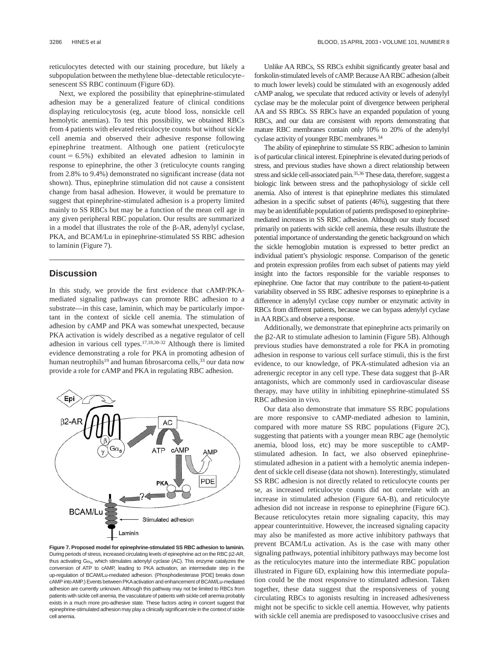reticulocytes detected with our staining procedure, but likely a subpopulation between the methylene blue–detectable reticulocyte– senescent SS RBC continuum (Figure 6D).

Next, we explored the possibility that epinephrine-stimulated adhesion may be a generalized feature of clinical conditions displaying reticulocytosis (eg, acute blood loss, nonsickle cell hemolytic anemias). To test this possibility, we obtained RBCs from 4 patients with elevated reticulocyte counts but without sickle cell anemia and observed their adhesive response following epinephrine treatment. Although one patient (reticulocyte  $count = 6.5\%$  exhibited an elevated adhesion to laminin in response to epinephrine, the other 3 (reticulocyte counts ranging from 2.8% to 9.4%) demonstrated no significant increase (data not shown). Thus, epinephrine stimulation did not cause a consistent change from basal adhesion. However, it would be premature to suggest that epinephrine-stimulated adhesion is a property limited mainly to SS RBCs but may be a function of the mean cell age in any given peripheral RBC population. Our results are summarized in a model that illustrates the role of the  $\beta$ -AR, adenylyl cyclase, PKA, and BCAM/Lu in epinephrine-stimulated SS RBC adhesion to laminin (Figure 7).

## **Discussion**

In this study, we provide the first evidence that cAMP/PKAmediated signaling pathways can promote RBC adhesion to a substrate—in this case, laminin, which may be particularly important in the context of sickle cell anemia. The stimulation of adhesion by cAMP and PKA was somewhat unexpected, because PKA activation is widely described as a negative regulator of cell adhesion in various cell types.17,18,30-32 Although there is limited evidence demonstrating a role for PKA in promoting adhesion of human neutrophils<sup>19</sup> and human fibrosarcoma cells,<sup>33</sup> our data now provide a role for cAMP and PKA in regulating RBC adhesion.



**Figure 7. Proposed model for epinephrine-stimulated SS RBC adhesion to laminin.** During periods of stress, increased circulating levels of epinephrine act on the RBC  $\beta$ 2-AR, thus activating  $Gx_{s}$ , which stimulates adenylyl cyclase (AC). This enzyme catalyzes the conversion of ATP to cAMP, leading to PKA activation, an intermediate step in the up-regulation of BCAM/Lu-mediated adhesion. (Phosphodiesterase [PDE] breaks down cAMP into AMP.) Events between PKA activation and enhancement of BCAM/Lu-mediated adhesion are currently unknown. Although this pathway may not be limited to RBCs from patients with sickle cell anemia, the vasculature of patients with sickle cell anemia probably exists in a much more pro-adhesive state. These factors acting in concert suggest that epinephrine-stimulated adhesion may play a clinically significant role in the context of sickle cell anemia.

Unlike AA RBCs, SS RBCs exhibit significantly greater basal and forskolin-stimulated levels of cAMP. BecauseAARBC adhesion (albeit to much lower levels) could be stimulated with an exogenously added cAMP analog, we speculate that reduced activity or levels of adenylyl cyclase may be the molecular point of divergence between peripheral AA and SS RBCs. SS RBCs have an expanded population of young RBCs, and our data are consistent with reports demonstrating that mature RBC membranes contain only 10% to 20% of the adenylyl cyclase activity of younger RBC membranes.34

The ability of epinephrine to stimulate SS RBC adhesion to laminin is of particular clinical interest. Epinephrine is elevated during periods of stress, and previous studies have shown a direct relationship between stress and sickle cell-associated pain.<sup>35,36</sup>These data, therefore, suggest a biologic link between stress and the pathophysiology of sickle cell anemia. Also of interest is that epinephrine mediates this stimulated adhesion in a specific subset of patients (46%), suggesting that there may be an identifiable population of patients predisposed to epinephrinemediated increases in SS RBC adhesion. Although our study focused primarily on patients with sickle cell anemia, these results illustrate the potential importance of understanding the genetic background on which the sickle hemoglobin mutation is expressed to better predict an individual patient's physiologic response. Comparison of the genetic and protein expression profiles from each subset of patients may yield insight into the factors responsible for the variable responses to epinephrine. One factor that may contribute to the patient-to-patient variability observed in SS RBC adhesive responses to epinephrine is a difference in adenylyl cyclase copy number or enzymatic activity in RBCs from different patients, because we can bypass adenylyl cyclase in AA RBCs and observe a response.

Additionally, we demonstrate that epinephrine acts primarily on the β2-AR to stimulate adhesion to laminin (Figure 5B). Although previous studies have demonstrated a role for PKA in promoting adhesion in response to various cell surface stimuli, this is the first evidence, to our knowledge, of PKA-stimulated adhesion via an adrenergic receptor in any cell type. These data suggest that  $\beta$ -AR antagonists, which are commonly used in cardiovascular disease therapy, may have utility in inhibiting epinephrine-stimulated SS RBC adhesion in vivo*.*

Our data also demonstrate that immature SS RBC populations are more responsive to cAMP-mediated adhesion to laminin, compared with more mature SS RBC populations (Figure 2C), suggesting that patients with a younger mean RBC age (hemolytic anemia, blood loss, etc) may be more susceptible to cAMPstimulated adhesion. In fact, we also observed epinephrinestimulated adhesion in a patient with a hemolytic anemia independent of sickle cell disease (data not shown). Interestingly, stimulated SS RBC adhesion is not directly related to reticulocyte counts per se, as increased reticulocyte counts did not correlate with an increase in stimulated adhesion (Figure 6A-B), and reticulocyte adhesion did not increase in response to epinephrine (Figure 6C). Because reticulocytes retain more signaling capacity, this may appear counterintuitive. However, the increased signaling capacity may also be manifested as more active inhibitory pathways that prevent BCAM/Lu activation. As is the case with many other signaling pathways, potential inhibitory pathways may become lost as the reticulocytes mature into the intermediate RBC population illustrated in Figure 6D, explaining how this intermediate population could be the most responsive to stimulated adhesion. Taken together, these data suggest that the responsiveness of young circulating RBCs to agonists resulting in increased adhesiveness might not be specific to sickle cell anemia. However, why patients with sickle cell anemia are predisposed to vasoocclusive crises and